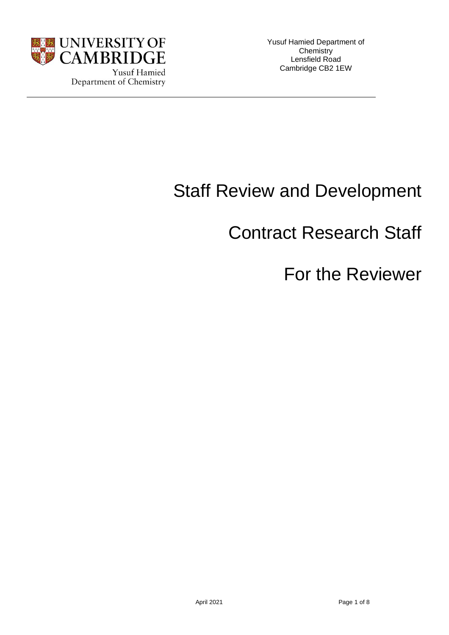

# Staff Review and Development

# Contract Research Staff

# For the Reviewer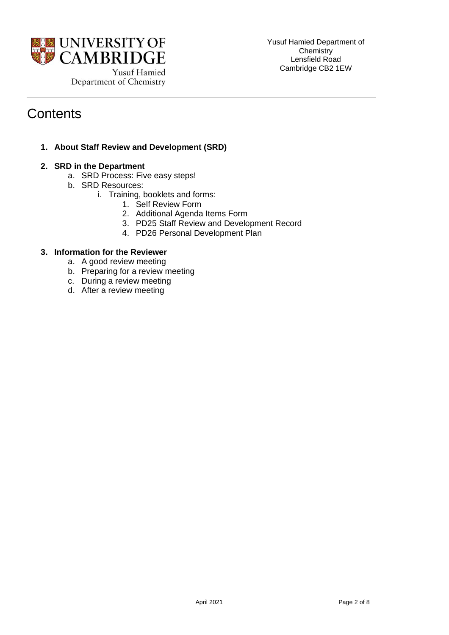

# **Contents**

**1. About Staff Review and Development (SRD)** 

# **2. SRD in the Department**

- a. SRD Process: Five easy steps!
- b. SRD Resources:
	- i. Training, booklets and forms:
		- 1. Self Review Form
		- 2. Additional Agenda Items Form
		- 3. PD25 Staff Review and Development Record
		- 4. PD26 Personal Development Plan

# **3. Information for the Reviewer**

- a. A good review meeting
- b. Preparing for a review meeting
- c. During a review meeting
- d. After a review meeting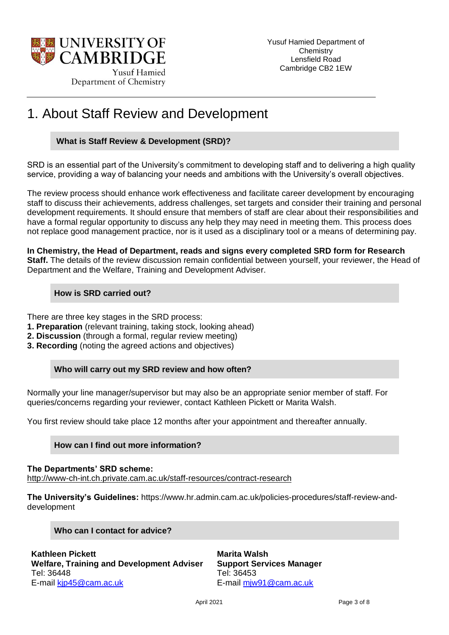

# 1. About Staff Review and Development

# **What is Staff Review & Development (SRD)?**

SRD is an essential part of the University's commitment to developing staff and to delivering a high quality service, providing a way of balancing your needs and ambitions with the University's overall objectives.

The review process should enhance work effectiveness and facilitate career development by encouraging staff to discuss their achievements, address challenges, set targets and consider their training and personal development requirements. It should ensure that members of staff are clear about their responsibilities and have a formal regular opportunity to discuss any help they may need in meeting them. This process does not replace good management practice, nor is it used as a disciplinary tool or a means of determining pay.

**In Chemistry, the Head of Department, reads and signs every completed SRD form for Research Staff.** The details of the review discussion remain confidential between yourself, your reviewer, the Head of Department and the Welfare, Training and Development Adviser.

# **How is SRD carried out?**

There are three key stages in the SRD process:

- **1. Preparation** (relevant training, taking stock, looking ahead)
- **2. Discussion** (through a formal, regular review meeting)
- **3. Recording** (noting the agreed actions and objectives)

# **Who will carry out my SRD review and how often?**

Normally your line manager/supervisor but may also be an appropriate senior member of staff. For queries/concerns regarding your reviewer, contact Kathleen Pickett or Marita Walsh.

You first review should take place 12 months after your appointment and thereafter annually.

# **How can I find out more information?**

**The Departments' SRD scheme:** <http://www-ch-int.ch.private.cam.ac.uk/staff-resources/contract-research>

**The University's Guidelines:** https://www.hr.admin.cam.ac.uk/policies-procedures/staff-review-anddevelopment

# **Who can I contact for advice?**

**Kathleen Pickett Welfare, Training and Development Adviser** Tel: 36448 E-mail [kjp45@cam.ac.uk](mailto:kjp45@cam.ac.uk)

**Marita Walsh Support Services Manager** Tel: 36453 E-mail [mjw91@cam.ac.uk](mailto:mjw91@cam.ac.uk)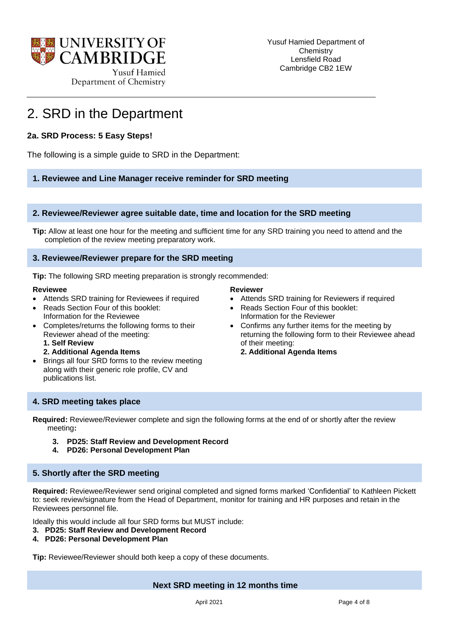

# 2. SRD in the Department

# **2a. SRD Process: 5 Easy Steps!**

The following is a simple guide to SRD in the Department:

#### **1. Reviewee and Line Manager receive reminder for SRD meeting**

#### **2. Reviewee/Reviewer agree suitable date, time and location for the SRD meeting**

**Tip:** Allow at least one hour for the meeting and sufficient time for any SRD training you need to attend and the completion of the review meeting preparatory work.

#### **3. Reviewee/Reviewer prepare for the SRD meeting**

**Tip:** The following SRD meeting preparation is strongly recommended:

#### **Reviewee**

- Attends SRD training for Reviewees if required
- Reads Section Four of this booklet: Information for the Reviewee
- Completes/returns the following forms to their Reviewer ahead of the meeting: **1. Self Review**
	- **2. Additional Agenda Items**
- Brings all four SRD forms to the review meeting along with their generic role profile, CV and publications list.

#### **Reviewer**

- Attends SRD training for Reviewers if required
- Reads Section Four of this booklet: Information for the Reviewer
- Confirms any further items for the meeting by returning the following form to their Reviewee ahead of their meeting:
	- **2. Additional Agenda Items**

# **4. SRD meeting takes place**

**Required:** Reviewee/Reviewer complete and sign the following forms at the end of or shortly after the review meeting**:** 

- **3. PD25: Staff Review and Development Record**
- **4. PD26: Personal Development Plan**

#### **5. Shortly after the SRD meeting**

**Required:** Reviewee/Reviewer send original completed and signed forms marked 'Confidential' to Kathleen Pickett to: seek review/signature from the Head of Department, monitor for training and HR purposes and retain in the Reviewees personnel file.

Ideally this would include all four SRD forms but MUST include:

- **3. PD25: Staff Review and Development Record**
- **4. PD26: Personal Development Plan**

**Tip:** Reviewee/Reviewer should both keep a copy of these documents.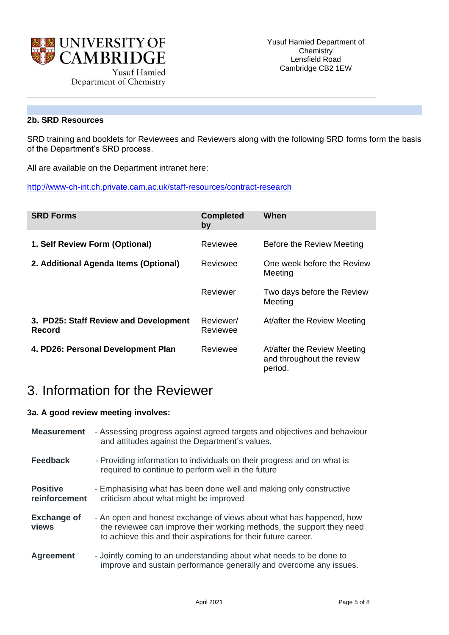

# **2b. SRD Resources**

SRD training and booklets for Reviewees and Reviewers along with the following SRD forms form the basis of the Department's SRD process.

All are available on the Department intranet here:

<http://www-ch-int.ch.private.cam.ac.uk/staff-resources/contract-research>

| <b>SRD Forms</b>                                | <b>Completed</b><br>by | When                                                                |
|-------------------------------------------------|------------------------|---------------------------------------------------------------------|
| 1. Self Review Form (Optional)                  | Reviewee               | Before the Review Meeting                                           |
| 2. Additional Agenda Items (Optional)           | Reviewee               | One week before the Review<br>Meeting                               |
|                                                 | Reviewer               | Two days before the Review<br>Meeting                               |
| 3. PD25: Staff Review and Development<br>Record | Reviewer/<br>Reviewee  | At/after the Review Meeting                                         |
| 4. PD26: Personal Development Plan              | Reviewee               | At/after the Review Meeting<br>and throughout the review<br>period. |

# 3. Information for the Reviewer

# **3a. A good review meeting involves:**

| <b>Measurement</b>               | - Assessing progress against agreed targets and objectives and behaviour<br>and attitudes against the Department's values.                                                                                     |
|----------------------------------|----------------------------------------------------------------------------------------------------------------------------------------------------------------------------------------------------------------|
| <b>Feedback</b>                  | - Providing information to individuals on their progress and on what is<br>required to continue to perform well in the future                                                                                  |
| <b>Positive</b><br>reinforcement | - Emphasising what has been done well and making only constructive<br>criticism about what might be improved                                                                                                   |
| <b>Exchange of</b><br>views      | - An open and honest exchange of views about what has happened, how<br>the reviewee can improve their working methods, the support they need<br>to achieve this and their aspirations for their future career. |
| <b>Agreement</b>                 | - Jointly coming to an understanding about what needs to be done to<br>improve and sustain performance generally and overcome any issues.                                                                      |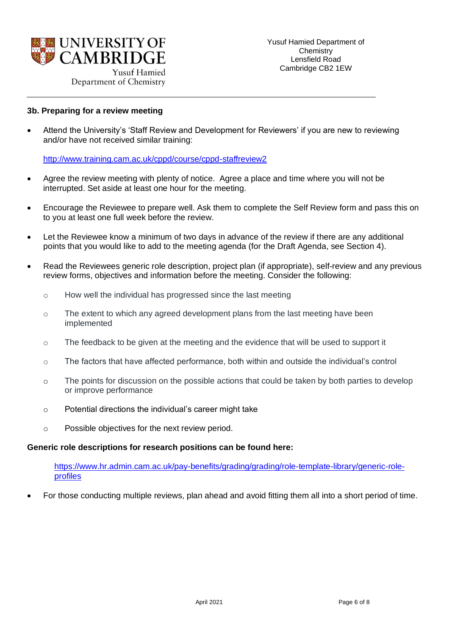

Department of Chemistry

#### **3b. Preparing for a review meeting**

• Attend the University's 'Staff Review and Development for Reviewers' if you are new to reviewing and/or have not received similar training:

<http://www.training.cam.ac.uk/cppd/course/cppd-staffreview2>

- Agree the review meeting with plenty of notice. Agree a place and time where you will not be interrupted. Set aside at least one hour for the meeting.
- Encourage the Reviewee to prepare well. Ask them to complete the Self Review form and pass this on to you at least one full week before the review.
- Let the Reviewee know a minimum of two days in advance of the review if there are any additional points that you would like to add to the meeting agenda (for the Draft Agenda, see Section 4).
- Read the Reviewees generic role description, project plan (if appropriate), self-review and any previous review forms, objectives and information before the meeting. Consider the following:
	- o How well the individual has progressed since the last meeting
	- $\circ$  The extent to which any agreed development plans from the last meeting have been implemented
	- $\circ$  The feedback to be given at the meeting and the evidence that will be used to support it
	- $\circ$  The factors that have affected performance, both within and outside the individual's control
	- o The points for discussion on the possible actions that could be taken by both parties to develop or improve performance
	- o Potential directions the individual's career might take
	- o Possible objectives for the next review period.

#### **Generic role descriptions for research positions can be found here:**

[https://www.hr.admin.cam.ac.uk/pay-benefits/grading/grading/role-template-library/generic-role](https://www.hr.admin.cam.ac.uk/pay-benefits/grading/grading/role-template-library/generic-role-profiles)[profiles](https://www.hr.admin.cam.ac.uk/pay-benefits/grading/grading/role-template-library/generic-role-profiles)

• For those conducting multiple reviews, plan ahead and avoid fitting them all into a short period of time.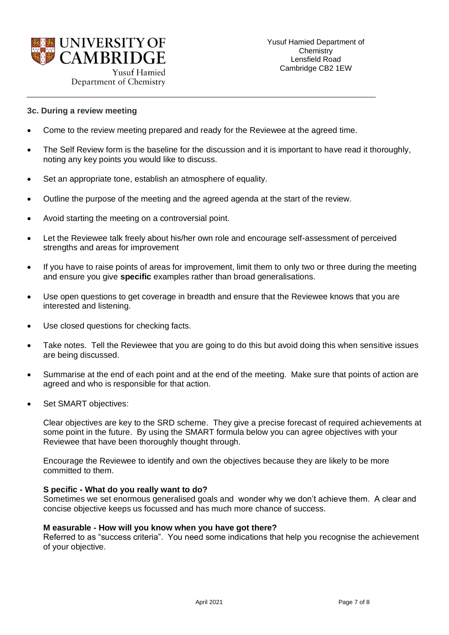

Department of Chemistry

#### **3c. During a review meeting**

- Come to the review meeting prepared and ready for the Reviewee at the agreed time.
- The Self Review form is the baseline for the discussion and it is important to have read it thoroughly, noting any key points you would like to discuss.
- Set an appropriate tone, establish an atmosphere of equality.
- Outline the purpose of the meeting and the agreed agenda at the start of the review.
- Avoid starting the meeting on a controversial point.
- Let the Reviewee talk freely about his/her own role and encourage self-assessment of perceived strengths and areas for improvement
- If you have to raise points of areas for improvement, limit them to only two or three during the meeting and ensure you give **specific** examples rather than broad generalisations.
- Use open questions to get coverage in breadth and ensure that the Reviewee knows that you are interested and listening.
- Use closed questions for checking facts.
- Take notes. Tell the Reviewee that you are going to do this but avoid doing this when sensitive issues are being discussed.
- Summarise at the end of each point and at the end of the meeting. Make sure that points of action are agreed and who is responsible for that action.
- Set SMART objectives:

Clear objectives are key to the SRD scheme. They give a precise forecast of required achievements at some point in the future. By using the SMART formula below you can agree objectives with your Reviewee that have been thoroughly thought through.

Encourage the Reviewee to identify and own the objectives because they are likely to be more committed to them.

#### **S pecific - What do you really want to do?**

Sometimes we set enormous generalised goals and wonder why we don't achieve them. A clear and concise objective keeps us focussed and has much more chance of success.

#### **M easurable - How will you know when you have got there?**

Referred to as "success criteria". You need some indications that help you recognise the achievement of your objective.